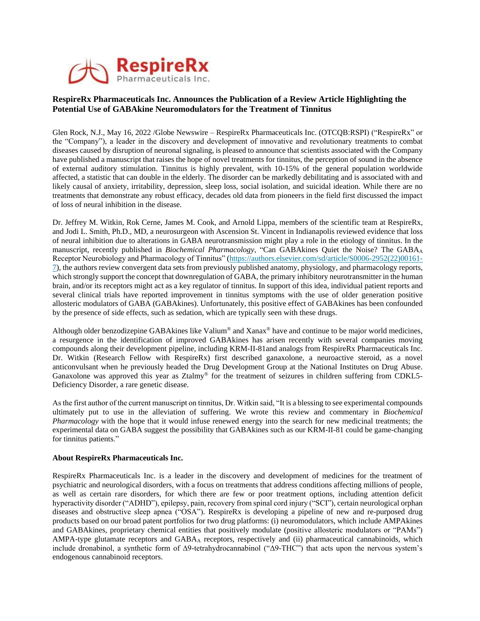

# **RespireRx Pharmaceuticals Inc. Announces the Publication of a Review Article Highlighting the Potential Use of GABAkine Neuromodulators for the Treatment of Tinnitus**

Glen Rock, N.J., May 16, 2022 /Globe Newswire – RespireRx Pharmaceuticals Inc. (OTCQB:RSPI) ("RespireRx" or the "Company"), a leader in the discovery and development of innovative and revolutionary treatments to combat diseases caused by disruption of neuronal signaling, is pleased to announce that scientists associated with the Company have published a manuscript that raises the hope of novel treatments for tinnitus, the perception of sound in the absence of external auditory stimulation. Tinnitus is highly prevalent, with 10-15% of the general population worldwide affected, a statistic that can double in the elderly. The disorder can be markedly debilitating and is associated with and likely causal of anxiety, irritability, depression, sleep loss, social isolation, and suicidal ideation. While there are no treatments that demonstrate any robust efficacy, decades old data from pioneers in the field first discussed the impact of loss of neural inhibition in the disease.

Dr. Jeffrey M. Witkin, Rok Cerne, James M. Cook, and Arnold Lippa, members of the scientific team at RespireRx, and Jodi L. Smith, Ph.D., MD, a neurosurgeon with Ascension St. Vincent in Indianapolis reviewed evidence that loss of neural inhibition due to alterations in GABA neurotransmission might play a role in the etiology of tinnitus. In the manuscript, recently published in *Biochemical Pharmacology*, "Can GABAkines Quiet the Noise? The GABA<sup>A</sup> Receptor Neurobiology and Pharmacology of Tinnitus" [\(https://authors.elsevier.com/sd/article/S0006-2952\(22\)00161-](https://authors.elsevier.com/sd/article/S0006-2952(22)00161-7) [7\)](https://authors.elsevier.com/sd/article/S0006-2952(22)00161-7), the authors review convergent data sets from previously published anatomy, physiology, and pharmacology reports, which strongly support the concept that downregulation of GABA, the primary inhibitory neurotransmitter in the human brain, and/or its receptors might act as a key regulator of tinnitus. In support of this idea, individual patient reports and several clinical trials have reported improvement in tinnitus symptoms with the use of older generation positive allosteric modulators of GABA (GABAkines). Unfortunately, this positive effect of GABAkines has been confounded by the presence of side effects, such as sedation, which are typically seen with these drugs.

Although older benzodizepine GABAkines like Valium® and Xanax® have and continue to be major world medicines, a resurgence in the identification of improved GABAkines has arisen recently with several companies moving compounds along their development pipeline, including KRM-II-81and analogs from RespireRx Pharmaceuticals Inc. Dr. Witkin (Research Fellow with RespireRx) first described ganaxolone, a neuroactive steroid, as a novel anticonvulsant when he previously headed the Drug Development Group at the National Institutes on Drug Abuse. Ganaxolone was approved this year as Ztalmy® for the treatment of seizures in children suffering from CDKL5- Deficiency Disorder, a rare genetic disease.

As the first author of the current manuscript on tinnitus, Dr. Witkin said, "It is a blessing to see experimental compounds ultimately put to use in the alleviation of suffering. We wrote this review and commentary in *Biochemical Pharmacology* with the hope that it would infuse renewed energy into the search for new medicinal treatments; the experimental data on GABA suggest the possibility that GABAkines such as our KRM-II-81 could be game-changing for tinnitus patients."

### **About RespireRx Pharmaceuticals Inc.**

RespireRx Pharmaceuticals Inc. is a leader in the discovery and development of medicines for the treatment of psychiatric and neurological disorders, with a focus on treatments that address conditions affecting millions of people, as well as certain rare disorders, for which there are few or poor treatment options, including attention deficit hyperactivity disorder ("ADHD"), epilepsy, pain, recovery from spinal cord injury ("SCI"), certain neurological orphan diseases and obstructive sleep apnea ("OSA"). RespireRx is developing a pipeline of new and re-purposed drug products based on our broad patent portfolios for two drug platforms: (i) neuromodulators, which include AMPAkines and GABAkines, proprietary chemical entities that positively modulate (positive allosteric modulators or "PAMs") AMPA-type glutamate receptors and GABAA receptors, respectively and (ii) pharmaceutical cannabinoids, which include dronabinol, a synthetic form of ∆9-tetrahydrocannabinol ("Δ9-THC") that acts upon the nervous system's endogenous cannabinoid receptors.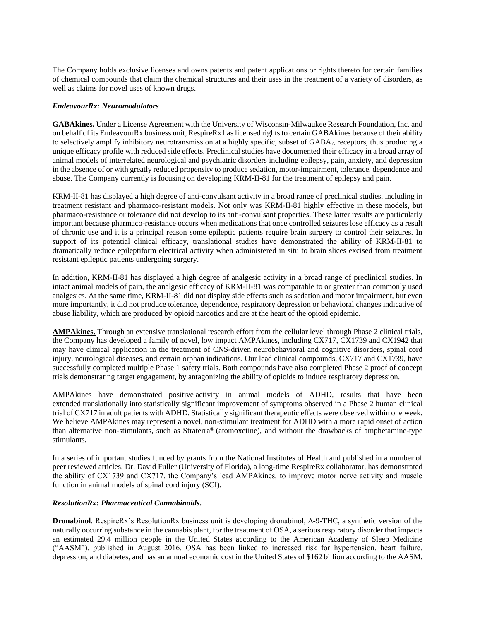The Company holds exclusive licenses and owns patents and patent applications or rights thereto for certain families of chemical compounds that claim the chemical structures and their uses in the treatment of a variety of disorders, as well as claims for novel uses of known drugs.

### *EndeavourRx: Neuromodulators*

**GABAkines.** Under a License Agreement with the University of Wisconsin-Milwaukee Research Foundation, Inc. and on behalf of its EndeavourRx business unit, RespireRx has licensed rights to certain GABAkines because of their ability to selectively amplify inhibitory neurotransmission at a highly specific, subset of GABA<sup>A</sup> receptors, thus producing a unique efficacy profile with reduced side effects. Preclinical studies have documented their efficacy in a broad array of animal models of interrelated neurological and psychiatric disorders including epilepsy, pain, anxiety, and depression in the absence of or with greatly reduced propensity to produce sedation, motor-impairment, tolerance, dependence and abuse. The Company currently is focusing on developing KRM-II-81 for the treatment of epilepsy and pain.

KRM-II-81 has displayed a high degree of anti-convulsant activity in a broad range of preclinical studies, including in treatment resistant and pharmaco-resistant models. Not only was KRM-II-81 highly effective in these models, but pharmaco-resistance or tolerance did not develop to its anti-convulsant properties. These latter results are particularly important because pharmaco-resistance occurs when medications that once controlled seizures lose efficacy as a result of chronic use and it is a principal reason some epileptic patients require brain surgery to control their seizures. In support of its potential clinical efficacy, translational studies have demonstrated the ability of KRM-II-81 to dramatically reduce epileptiform electrical activity when administered in situ to brain slices excised from treatment resistant epileptic patients undergoing surgery.

In addition, KRM-II-81 has displayed a high degree of analgesic activity in a broad range of preclinical studies. In intact animal models of pain, the analgesic efficacy of KRM-II-81 was comparable to or greater than commonly used analgesics. At the same time, KRM-II-81 did not display side effects such as sedation and motor impairment, but even more importantly, it did not produce tolerance, dependence, respiratory depression or behavioral changes indicative of abuse liability, which are produced by opioid narcotics and are at the heart of the opioid epidemic.

**AMPAkines.** Through an extensive translational research effort from the cellular level through Phase 2 clinical trials, the Company has developed a family of novel, low impact AMPAkines, including CX717, CX1739 and CX1942 that may have clinical application in the treatment of CNS-driven neurobehavioral and cognitive disorders, spinal cord injury, neurological diseases, and certain orphan indications. Our lead clinical compounds, CX717 and CX1739, have successfully completed multiple Phase 1 safety trials. Both compounds have also completed Phase 2 proof of concept trials demonstrating target engagement, by antagonizing the ability of opioids to induce respiratory depression.

AMPAkines have demonstrated positive activity in animal models of ADHD, results that have been extended translationally into statistically significant improvement of symptoms observed in a Phase 2 human clinical trial of CX717 in adult patients with ADHD. Statistically significant therapeutic effects were observed within one week. We believe AMPAkines may represent a novel, non-stimulant treatment for ADHD with a more rapid onset of action than alternative non-stimulants, such as Straterra® (atomoxetine), and without the drawbacks of amphetamine-type stimulants.

In a series of important studies funded by grants from the National Institutes of Health and published in a number of peer reviewed articles, Dr. David Fuller (University of Florida), a long-time RespireRx collaborator, has demonstrated the ability of CX1739 and CX717, the Company's lead AMPAkines, to improve motor nerve activity and muscle function in animal models of spinal cord injury (SCI).

## *ResolutionRx: Pharmaceutical Cannabinoids***.**

**Dronabinol**. RespireRx's ResolutionRx business unit is developing dronabinol, ∆-9-THC, a synthetic version of the naturally occurring substance in the cannabis plant, for the treatment of OSA, a serious respiratory disorder that impacts an estimated 29.4 million people in the United States according to the American Academy of Sleep Medicine ("AASM"), published in August 2016. OSA has been linked to increased risk for hypertension, heart failure, depression, and diabetes, and has an annual economic cost in the United States of \$162 billion according to the AASM.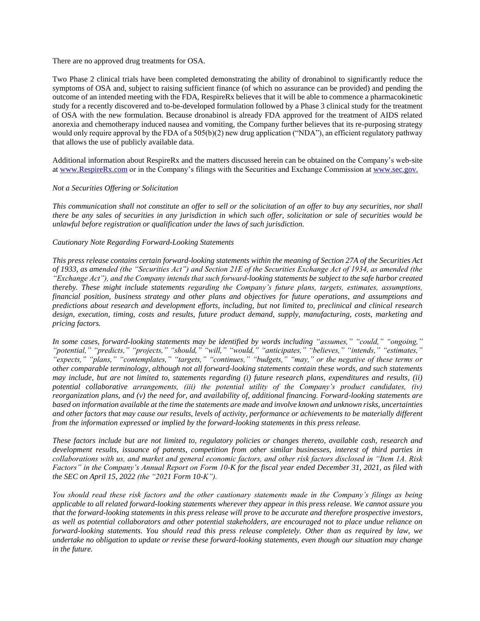There are no approved drug treatments for OSA.

Two Phase 2 clinical trials have been completed demonstrating the ability of dronabinol to significantly reduce the symptoms of OSA and, subject to raising sufficient finance (of which no assurance can be provided) and pending the outcome of an intended meeting with the FDA, RespireRx believes that it will be able to commence a pharmacokinetic study for a recently discovered and to-be-developed formulation followed by a Phase 3 clinical study for the treatment of OSA with the new formulation. Because dronabinol is already FDA approved for the treatment of AIDS related anorexia and chemotherapy induced nausea and vomiting, the Company further believes that its re-purposing strategy would only require approval by the FDA of a 505(b)(2) new drug application ("NDA"), an efficient regulatory pathway that allows the use of publicly available data.

Additional information about RespireRx and the matters discussed herein can be obtained on the Company's web-site a[t www.RespireRx.com](http://respirerx.com/) or in the Company's filings with the Securities and Exchange Commission at [www.sec.gov.](http://www.sec.gov./)

### *Not a Securities Offering or Solicitation*

*This communication shall not constitute an offer to sell or the solicitation of an offer to buy any securities, nor shall there be any sales of securities in any jurisdiction in which such offer, solicitation or sale of securities would be unlawful before registration or qualification under the laws of such jurisdiction.*

#### *Cautionary Note Regarding Forward-Looking Statements*

*This press release contains certain forward-looking statements within the meaning of Section 27A of the Securities Act of 1933, as amended (the "Securities Act") and Section 21E of the Securities Exchange Act of 1934, as amended (the "Exchange Act"), and the Company intends that such forward-looking statements be subject to the safe harbor created thereby. These might include statements regarding the Company's future plans, targets, estimates, assumptions, financial position, business strategy and other plans and objectives for future operations, and assumptions and predictions about research and development efforts, including, but not limited to, preclinical and clinical research design, execution, timing, costs and results, future product demand, supply, manufacturing, costs, marketing and pricing factors.*

*In some cases, forward-looking statements may be identified by words including "assumes," "could," "ongoing," "potential," "predicts," "projects," "should," "will," "would," "anticipates," "believes," "intends," "estimates," "expects," "plans," "contemplates," "targets," "continues," "budgets," "may," or the negative of these terms or other comparable terminology, although not all forward-looking statements contain these words, and such statements may include, but are not limited to, statements regarding (i) future research plans, expenditures and results, (ii) potential collaborative arrangements, (iii) the potential utility of the Company's product candidates, (iv) reorganization plans, and (v) the need for, and availability of, additional financing. Forward-looking statements are based on information available at the time the statements are made and involve known and unknown risks, uncertainties and other factors that may cause our results, levels of activity, performance or achievements to be materially different from the information expressed or implied by the forward-looking statements in this press release.*

*These factors include but are not limited to, regulatory policies or changes thereto, available cash, research and development results, issuance of patents, competition from other similar businesses, interest of third parties in collaborations with us, and market and general economic factors, and other risk factors disclosed in "Item 1A. Risk Factors" in the Company's Annual Report on Form 10-K for the fiscal year ended December 31, 2021, as filed with the SEC on April 15, 2022 (the "2021 Form 10-K").*

*You should read these risk factors and the other cautionary statements made in the Company's filings as being applicable to all related forward-looking statements wherever they appear in this press release. We cannot assure you that the forward-looking statements in this press release will prove to be accurate and therefore prospective investors, as well as potential collaborators and other potential stakeholders, are encouraged not to place undue reliance on forward-looking statements. You should read this press release completely. Other than as required by law, we undertake no obligation to update or revise these forward-looking statements, even though our situation may change in the future.*